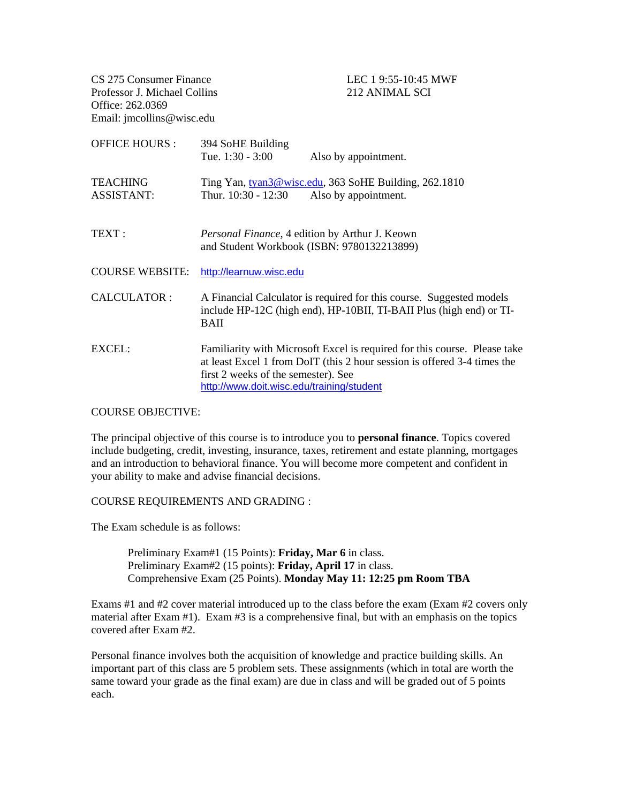CS 275 Consumer Finance LEC 1 9:55-10:45 MWF Professor J. Michael Collins 212 ANIMAL SCI Office: 262.0369 Email: jmcollins@wisc.edu

| <b>OFFICE HOURS:</b>                 | 394 SoHE Building<br>Tue. $1:30 - 3:00$                                                      | Also by appointment.                                                                                                                                  |
|--------------------------------------|----------------------------------------------------------------------------------------------|-------------------------------------------------------------------------------------------------------------------------------------------------------|
| <b>TEACHING</b><br><b>ASSISTANT:</b> | Thur. 10:30 - 12:30                                                                          | Ting Yan, tyan3@wisc.edu, 363 SoHE Building, 262.1810<br>Also by appointment.                                                                         |
| TEXT:                                | Personal Finance, 4 edition by Arthur J. Keown<br>and Student Workbook (ISBN: 9780132213899) |                                                                                                                                                       |
| <b>COURSE WEBSITE:</b>               | http://learnuw.wisc.edu                                                                      |                                                                                                                                                       |
| CALCULATOR:                          | <b>BAII</b>                                                                                  | A Financial Calculator is required for this course. Suggested models<br>include HP-12C (high end), HP-10BII, TI-BAII Plus (high end) or TI-           |
| EXCEL:                               | first 2 weeks of the semester). See<br>http://www.doit.wisc.edu/training/student             | Familiarity with Microsoft Excel is required for this course. Please take<br>at least Excel 1 from DoIT (this 2 hour session is offered 3-4 times the |

## COURSE OBJECTIVE:

The principal objective of this course is to introduce you to **personal finance**. Topics covered include budgeting, credit, investing, insurance, taxes, retirement and estate planning, mortgages and an introduction to behavioral finance. You will become more competent and confident in your ability to make and advise financial decisions.

## COURSE REQUIREMENTS AND GRADING :

The Exam schedule is as follows:

Preliminary Exam#1 (15 Points): **Friday, Mar 6** in class. Preliminary Exam#2 (15 points): **Friday, April 17** in class. Comprehensive Exam (25 Points). **Monday May 11: 12:25 pm Room TBA**

Exams #1 and #2 cover material introduced up to the class before the exam (Exam #2 covers only material after Exam #1). Exam #3 is a comprehensive final, but with an emphasis on the topics covered after Exam #2.

Personal finance involves both the acquisition of knowledge and practice building skills. An important part of this class are 5 problem sets. These assignments (which in total are worth the same toward your grade as the final exam) are due in class and will be graded out of 5 points each.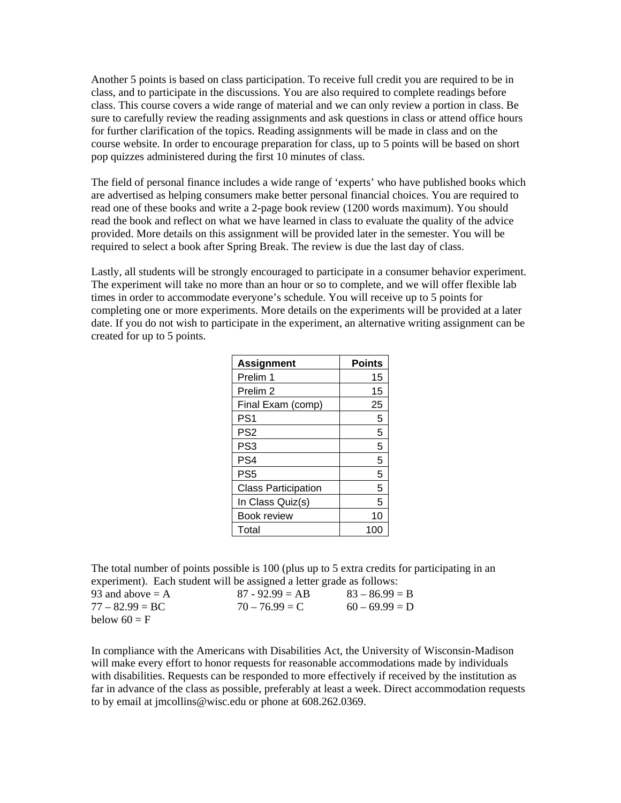Another 5 points is based on class participation. To receive full credit you are required to be in class, and to participate in the discussions. You are also required to complete readings before class. This course covers a wide range of material and we can only review a portion in class. Be sure to carefully review the reading assignments and ask questions in class or attend office hours for further clarification of the topics. Reading assignments will be made in class and on the course website. In order to encourage preparation for class, up to 5 points will be based on short pop quizzes administered during the first 10 minutes of class.

The field of personal finance includes a wide range of 'experts' who have published books which are advertised as helping consumers make better personal financial choices. You are required to read one of these books and write a 2-page book review (1200 words maximum). You should read the book and reflect on what we have learned in class to evaluate the quality of the advice provided. More details on this assignment will be provided later in the semester. You will be required to select a book after Spring Break. The review is due the last day of class.

Lastly, all students will be strongly encouraged to participate in a consumer behavior experiment. The experiment will take no more than an hour or so to complete, and we will offer flexible lab times in order to accommodate everyone's schedule. You will receive up to 5 points for completing one or more experiments. More details on the experiments will be provided at a later date. If you do not wish to participate in the experiment, an alternative writing assignment can be created for up to 5 points.

| <b>Assignment</b>          | <b>Points</b> |
|----------------------------|---------------|
| Prelim 1                   | 15            |
| Prelim <sub>2</sub>        | 15            |
| Final Exam (comp)          | 25            |
| PS <sub>1</sub>            | 5             |
| PS <sub>2</sub>            | 5             |
| PS <sub>3</sub>            | 5             |
| PS4                        | 5             |
| PS <sub>5</sub>            | 5             |
| <b>Class Participation</b> | 5             |
| In Class Quiz(s)           | 5             |
| <b>Book review</b>         | 10            |
| Total                      | 100           |

The total number of points possible is 100 (plus up to 5 extra credits for participating in an experiment). Each student will be assigned a letter grade as follows:

| 93 and above $= A$ | $87 - 92.99 = AB$ | $83 - 86.99 = B$ |
|--------------------|-------------------|------------------|
| $77 - 82.99 = BC$  | $70 - 76.99 = C$  | $60 - 69.99 = D$ |
| below $60 = F$     |                   |                  |

In compliance with the Americans with Disabilities Act, the University of Wisconsin-Madison will make every effort to honor requests for reasonable accommodations made by individuals with disabilities. Requests can be responded to more effectively if received by the institution as far in advance of the class as possible, preferably at least a week. Direct accommodation requests to by email at jmcollins@wisc.edu or phone at 608.262.0369.